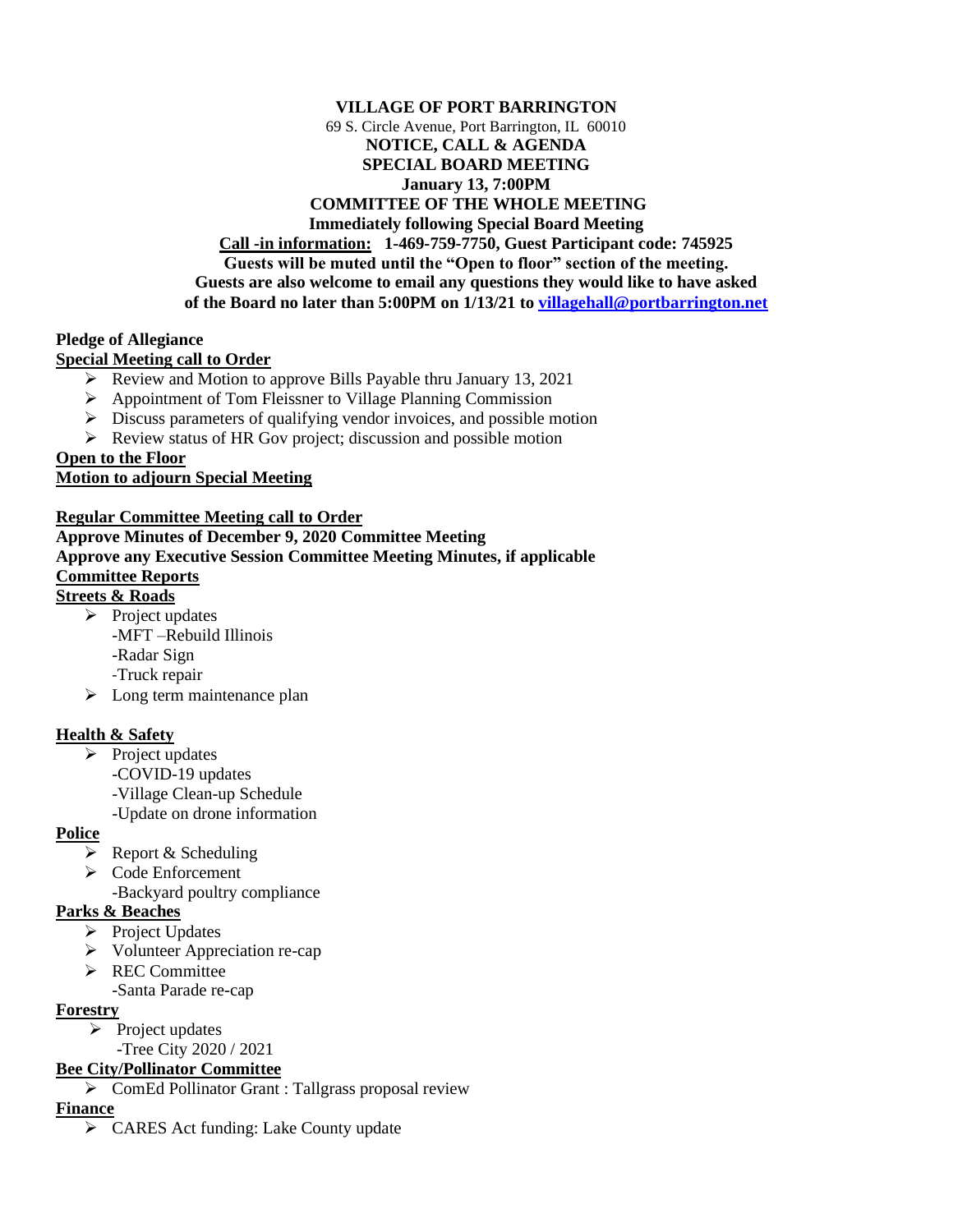#### **VILLAGE OF PORT BARRINGTON** 69 S. Circle Avenue, Port Barrington, IL 60010 **NOTICE, CALL & AGENDA SPECIAL BOARD MEETING January 13, 7:00PM COMMITTEE OF THE WHOLE MEETING Immediately following Special Board Meeting Call -in information: 1-469-759-7750, Guest Participant code: 745925 Guests will be muted until the "Open to floor" section of the meeting. Guests are also welcome to email any questions they would like to have asked of the Board no later than 5:00PM on 1/13/21 to [villagehall@portbarrington.net](mailto:villagehall@portbarrington.net)**

### **Pledge of Allegiance**

### **Special Meeting call to Order**

- ➢ Review and Motion to approve Bills Payable thru January 13, 2021
- ➢ Appointment of Tom Fleissner to Village Planning Commission
- ➢ Discuss parameters of qualifying vendor invoices, and possible motion
- ➢ Review status of HR Gov project; discussion and possible motion

### **Open to the Floor**

## **Motion to adjourn Special Meeting**

# **Regular Committee Meeting call to Order Approve Minutes of December 9, 2020 Committee Meeting Approve any Executive Session Committee Meeting Minutes, if applicable Committee Reports**

### **Streets & Roads**

- ➢ Project updates -MFT –Rebuild Illinois -Radar Sign -Truck repair
- $\triangleright$  Long term maintenance plan

## **Health & Safety**

- $\triangleright$  Project updates
	- -COVID-19 updates
	- -Village Clean-up Schedule
	- -Update on drone information

#### **Police**

- $\triangleright$  Report & Scheduling
- ➢ Code Enforcement
	- -Backyard poultry compliance

## **Parks & Beaches**

- ➢ Project Updates
- ➢ Volunteer Appreciation re-cap
- ➢ REC Committee
	- -Santa Parade re-cap

## **Forestry**

- $\triangleright$  Project updates
- -Tree City 2020 / 2021

# **Bee City/Pollinator Committee**

➢ ComEd Pollinator Grant : Tallgrass proposal review

## **Finance**

➢ CARES Act funding: Lake County update